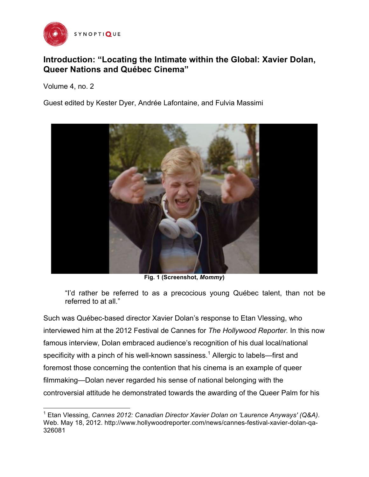

<u> 1989 - Johann Stein, markin film yn y breninn y breninn y breninn y breninn y breninn y breninn y breninn y b</u>

## **Introduction: "Locating the Intimate within the Global: Xavier Dolan, Queer Nations and Québec Cinema"**

Volume 4, no. 2

Guest edited by Kester Dyer, Andrée Lafontaine, and Fulvia Massimi



**Fig. 1 (Screenshot,** *Mommy***)**

"I'd rather be referred to as a precocious young Québec talent, than not be referred to at all."

Such was Québec-based director Xavier Dolan's response to Etan Vlessing, who interviewed him at the 2012 Festival de Cannes for *The Hollywood Reporter.* In this now famous interview, Dolan embraced audience's recognition of his dual local/national specificity with a pinch of his well-known sassiness.<sup>1</sup> Allergic to labels—first and foremost those concerning the contention that his cinema is an example of queer filmmaking—Dolan never regarded his sense of national belonging with the controversial attitude he demonstrated towards the awarding of the Queer Palm for his

<sup>1</sup> Etan Vlessing, *Cannes 2012: Canadian Director Xavier Dolan on 'Laurence Anyways' (Q&A)*. Web. May 18, 2012. http://www.hollywoodreporter.com/news/cannes-festival-xavier-dolan-qa-326081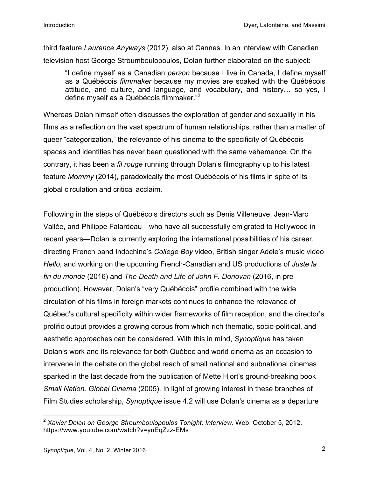third feature *Laurence Anyways* (2012), also at Cannes. In an interview with Canadian television host George Stroumboulopoulos, Dolan further elaborated on the subject:

"I define myself as a Canadian *person* because I live in Canada, I define myself as a Québécois *filmmaker* because my movies are soaked with the Québécois attitude, and culture, and language, and vocabulary, and history… so yes, I define myself as a Québécois filmmaker."<sup>2</sup>

Whereas Dolan himself often discusses the exploration of gender and sexuality in his films as a reflection on the vast spectrum of human relationships, rather than a matter of queer "categorization," the relevance of his cinema to the specificity of Québécois spaces and identities has never been questioned with the same vehemence. On the contrary, it has been a *fil rouge* running through Dolan's filmography up to his latest feature *Mommy* (2014), paradoxically the most Québécois of his films in spite of its global circulation and critical acclaim.

Following in the steps of Québécois directors such as Denis Villeneuve, Jean-Marc Vallée, and Philippe Falardeau—who have all successfully emigrated to Hollywood in recent years—Dolan is currently exploring the international possibilities of his career, directing French band Indochine's *College Boy* video, British singer Adele's music video *Hello*, and working on the upcoming French-Canadian and US productions of *Juste la fin du monde* (2016) and *The Death and Life of John F. Donovan* (2016, in preproduction). However, Dolan's "very Québécois" profile combined with the wide circulation of his films in foreign markets continues to enhance the relevance of Québec's cultural specificity within wider frameworks of film reception, and the director's prolific output provides a growing corpus from which rich thematic, socio-political, and aesthetic approaches can be considered. With this in mind, *Synoptique* has taken Dolan's work and its relevance for both Québec and world cinema as an occasion to intervene in the debate on the global reach of small national and subnational cinemas sparked in the last decade from the publication of Mette Hjort's ground-breaking book *Small Nation, Global Cinema* (2005). In light of growing interest in these branches of Film Studies scholarship, *Synoptique* issue 4.2 will use Dolan's cinema as a departure

 <sup>2</sup> *Xavier Dolan on George Stroumboulopoulos Tonight: Interview*. Web. October 5, 2012. https://www.youtube.com/watch?v=ynEqZzz-EMs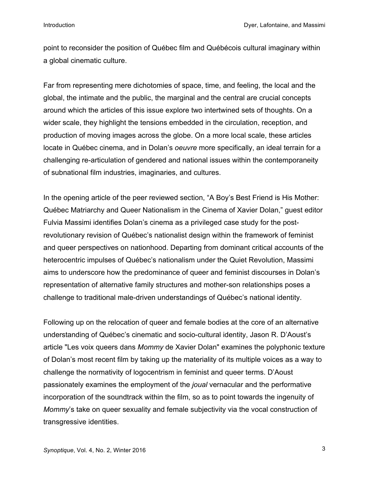point to reconsider the position of Québec film and Québécois cultural imaginary within a global cinematic culture.

Far from representing mere dichotomies of space, time, and feeling, the local and the global, the intimate and the public, the marginal and the central are crucial concepts around which the articles of this issue explore two intertwined sets of thoughts. On a wider scale, they highlight the tensions embedded in the circulation, reception, and production of moving images across the globe. On a more local scale, these articles locate in Québec cinema, and in Dolan's *oeuvre* more specifically, an ideal terrain for a challenging re-articulation of gendered and national issues within the contemporaneity of subnational film industries, imaginaries, and cultures.

In the opening article of the peer reviewed section, "A Boy's Best Friend is His Mother: Québec Matriarchy and Queer Nationalism in the Cinema of Xavier Dolan," guest editor Fulvia Massimi identifies Dolan's cinema as a privileged case study for the postrevolutionary revision of Québec's nationalist design within the framework of feminist and queer perspectives on nationhood. Departing from dominant critical accounts of the heterocentric impulses of Québec's nationalism under the Quiet Revolution, Massimi aims to underscore how the predominance of queer and feminist discourses in Dolan's representation of alternative family structures and mother-son relationships poses a challenge to traditional male-driven understandings of Québec's national identity.

Following up on the relocation of queer and female bodies at the core of an alternative understanding of Québec's cinematic and socio-cultural identity, Jason R. D'Aoust's article "Les voix queers dans *Mommy* de Xavier Dolan" examines the polyphonic texture of Dolan's most recent film by taking up the materiality of its multiple voices as a way to challenge the normativity of logocentrism in feminist and queer terms. D'Aoust passionately examines the employment of the *joual* vernacular and the performative incorporation of the soundtrack within the film, so as to point towards the ingenuity of *Mommy*'s take on queer sexuality and female subjectivity via the vocal construction of transgressive identities.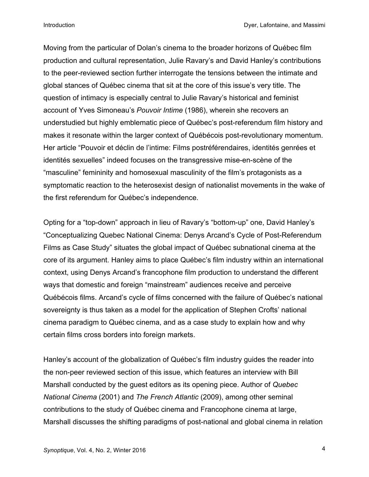Moving from the particular of Dolan's cinema to the broader horizons of Québec film production and cultural representation, Julie Ravary's and David Hanley's contributions to the peer-reviewed section further interrogate the tensions between the intimate and global stances of Québec cinema that sit at the core of this issue's very title. The question of intimacy is especially central to Julie Ravary's historical and feminist account of Yves Simoneau's *Pouvoir Intime* (1986), wherein she recovers an understudied but highly emblematic piece of Québec's post-referendum film history and makes it resonate within the larger context of Québécois post-revolutionary momentum. Her article "Pouvoir et déclin de l'intime: Films postréférendaires, identités genrées et identités sexuelles" indeed focuses on the transgressive mise-en-scène of the "masculine" femininity and homosexual masculinity of the film's protagonists as a symptomatic reaction to the heterosexist design of nationalist movements in the wake of the first referendum for Québec's independence.

Opting for a "top-down" approach in lieu of Ravary's "bottom-up" one, David Hanley's "Conceptualizing Quebec National Cinema: Denys Arcand's Cycle of Post-Referendum Films as Case Study" situates the global impact of Québec subnational cinema at the core of its argument. Hanley aims to place Québec's film industry within an international context, using Denys Arcand's francophone film production to understand the different ways that domestic and foreign "mainstream" audiences receive and perceive Québécois films. Arcand's cycle of films concerned with the failure of Québec's national sovereignty is thus taken as a model for the application of Stephen Crofts' national cinema paradigm to Québec cinema, and as a case study to explain how and why certain films cross borders into foreign markets.

Hanley's account of the globalization of Québec's film industry guides the reader into the non-peer reviewed section of this issue, which features an interview with Bill Marshall conducted by the guest editors as its opening piece. Author of *Quebec National Cinema* (2001) and *The French Atlantic* (2009), among other seminal contributions to the study of Québec cinema and Francophone cinema at large, Marshall discusses the shifting paradigms of post-national and global cinema in relation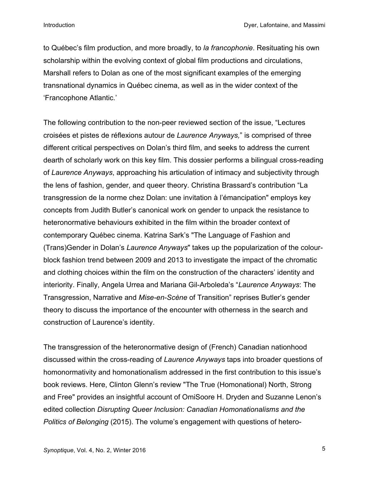to Québec's film production, and more broadly, to *la francophonie*. Resituating his own scholarship within the evolving context of global film productions and circulations, Marshall refers to Dolan as one of the most significant examples of the emerging transnational dynamics in Québec cinema, as well as in the wider context of the 'Francophone Atlantic.'

The following contribution to the non-peer reviewed section of the issue, "Lectures croisées et pistes de réflexions autour de *Laurence Anyways,*" is comprised of three different critical perspectives on Dolan's third film, and seeks to address the current dearth of scholarly work on this key film. This dossier performs a bilingual cross-reading of *Laurence Anyways*, approaching his articulation of intimacy and subjectivity through the lens of fashion, gender, and queer theory. Christina Brassard's contribution "La transgression de la norme chez Dolan: une invitation à l'émancipation" employs key concepts from Judith Butler's canonical work on gender to unpack the resistance to heteronormative behaviours exhibited in the film within the broader context of contemporary Québec cinema. Katrina Sark's "The Language of Fashion and (Trans)Gender in Dolan's *Laurence Anyways*" takes up the popularization of the colourblock fashion trend between 2009 and 2013 to investigate the impact of the chromatic and clothing choices within the film on the construction of the characters' identity and interiority. Finally, Angela Urrea and Mariana Gil-Arboleda's "*Laurence Anyways*: The Transgression, Narrative and *Mise-en-Scène* of Transition" reprises Butler's gender theory to discuss the importance of the encounter with otherness in the search and construction of Laurence's identity.

The transgression of the heteronormative design of (French) Canadian nationhood discussed within the cross-reading of *Laurence Anyways* taps into broader questions of homonormativity and homonationalism addressed in the first contribution to this issue's book reviews. Here, Clinton Glenn's review "The True (Homonational) North, Strong and Free" provides an insightful account of OmiSoore H. Dryden and Suzanne Lenon's edited collection *Disrupting Queer Inclusion: Canadian Homonationalisms and the Politics of Belonging* (2015). The volume's engagement with questions of hetero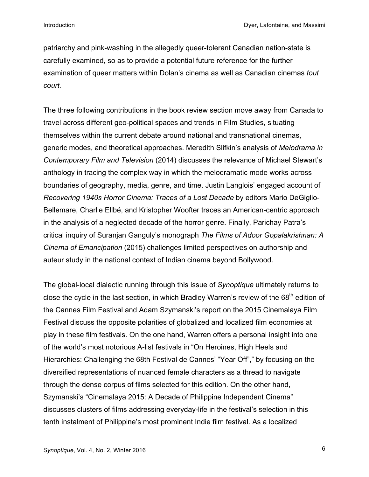patriarchy and pink-washing in the allegedly queer-tolerant Canadian nation-state is carefully examined, so as to provide a potential future reference for the further examination of queer matters within Dolan's cinema as well as Canadian cinemas *tout court.*

The three following contributions in the book review section move away from Canada to travel across different geo-political spaces and trends in Film Studies, situating themselves within the current debate around national and transnational cinemas, generic modes, and theoretical approaches. Meredith Slifkin's analysis of *Melodrama in Contemporary Film and Television* (2014) discusses the relevance of Michael Stewart's anthology in tracing the complex way in which the melodramatic mode works across boundaries of geography, media, genre, and time. Justin Langlois' engaged account of *Recovering 1940s Horror Cinema: Traces of a Lost Decade* by editors Mario DeGiglio-Bellemare, Charlie Ellbé, and Kristopher Woofter traces an American-centric approach in the analysis of a neglected decade of the horror genre. Finally, Parichay Patra's critical inquiry of Suranjan Ganguly's monograph *The Films of Adoor Gopalakrishnan: A Cinema of Emancipation* (2015) challenges limited perspectives on authorship and auteur study in the national context of Indian cinema beyond Bollywood.

The global-local dialectic running through this issue of *Synoptique* ultimately returns to close the cycle in the last section, in which Bradley Warren's review of the 68<sup>th</sup> edition of the Cannes Film Festival and Adam Szymanski's report on the 2015 Cinemalaya Film Festival discuss the opposite polarities of globalized and localized film economies at play in these film festivals. On the one hand, Warren offers a personal insight into one of the world's most notorious A-list festivals in "On Heroines, High Heels and Hierarchies: Challenging the 68th Festival de Cannes' "Year Off"," by focusing on the diversified representations of nuanced female characters as a thread to navigate through the dense corpus of films selected for this edition. On the other hand, Szymanski's "Cinemalaya 2015: A Decade of Philippine Independent Cinema" discusses clusters of films addressing everyday-life in the festival's selection in this tenth instalment of Philippine's most prominent Indie film festival. As a localized